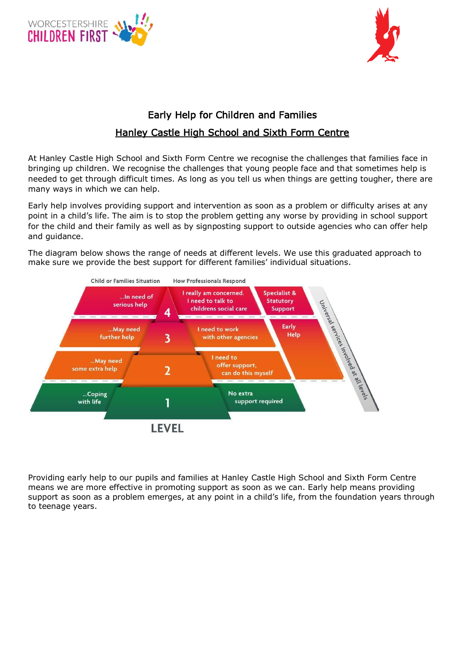



# Early Help for Children and Families Hanley Castle High School and Sixth Form Centre

At Hanley Castle High School and Sixth Form Centre we recognise the challenges that families face in bringing up children. We recognise the challenges that young people face and that sometimes help is needed to get through difficult times. As long as you tell us when things are getting tougher, there are many ways in which we can help.

Early help involves providing support and intervention as soon as a problem or difficulty arises at any point in a child's life. The aim is to stop the problem getting any worse by providing in school support for the child and their family as well as by signposting support to outside agencies who can offer help and guidance.

The diagram below shows the range of needs at different levels. We use this graduated approach to make sure we provide the best support for different families' individual situations.



Providing early help to our pupils and families at Hanley Castle High School and Sixth Form Centre means we are more effective in promoting support as soon as we can. Early help means providing support as soon as a problem emerges, at any point in a child's life, from the foundation years through to teenage years.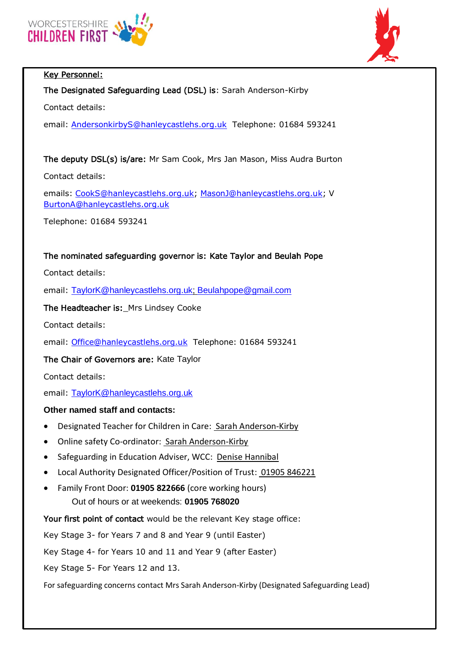

# Key Personnel:

# The Designated Safeguarding Lead (DSL) is: Sarah Anderson-Kirby

Contact details:

email: [AndersonkirbyS@hanleycastlehs.org.uk](mailto:AndersonkirbyS@hanleycastlehs.org.uk) Telephone: 01684 593241

# The deputy DSL(s) is/are: Mr Sam Cook, Mrs Jan Mason, Miss Audra Burton

Contact details:

emails: [CookS@hanleycastlehs.org.uk;](mailto:CookS@hanleycastlehs.org.uk) [MasonJ@hanleycastlehs.org.uk;](mailto:MasonJ@hanleycastlehs.org.uk) V [BurtonA@hanleycastlehs.org.uk](mailto:BurtonA@hanleycastlehs.org.uk)

Telephone: 01684 593241

# The nominated safeguarding governor is: Kate Taylor and Beulah Pope

Contact details:

email: [TaylorK@hanleycastlehs.org.uk;](mailto:TaylorK@hanleycastlehs.org.uk) [Beulahpope@gmail.com](mailto:Beulahpope@gmail.com)

The Headteacher is:\_Mrs Lindsey Cooke

Contact details:

email: [Office@hanleycastlehs.org.uk](mailto:Office@hanleycastlehs.org.uk) Telephone: 01684 593241

The Chair of Governors are: Kate Taylor

Contact details:

email: [TaylorK@hanleycastlehs.org.uk](mailto:TaylorK@hanleycastlehs.org.uk)

## **Other named staff and contacts:**

- Designated Teacher for Children in Care: Sarah Anderson-Kirby
- Online safety Co-ordinator: Sarah Anderson-Kirby
- Safeguarding in Education Adviser, WCC: Denise Hannibal
- Local Authority Designated Officer/Position of Trust: 01905 846221
- Family Front Door: **01905 822666** (core working hours) Out of hours or at weekends: **01905 768020**

Your first point of contact would be the relevant Key stage office:

Key Stage 3- for Years 7 and 8 and Year 9 (until Easter)

Key Stage 4- for Years 10 and 11 and Year 9 (after Easter)

Key Stage 5- For Years 12 and 13.

For safeguarding concerns contact Mrs Sarah Anderson-Kirby (Designated Safeguarding Lead)

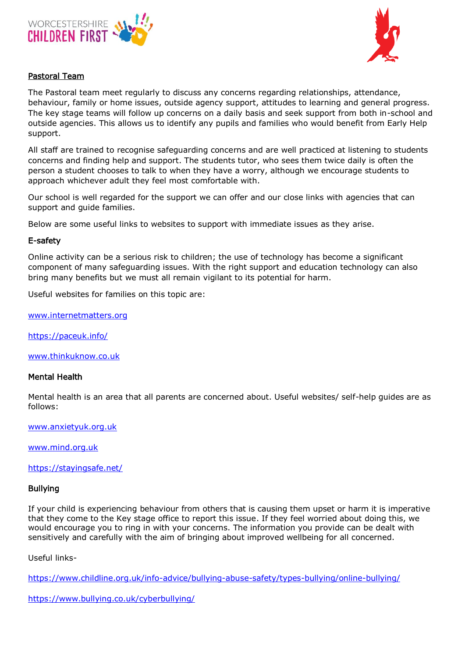



## Pastoral Team

The Pastoral team meet regularly to discuss any concerns regarding relationships, attendance, behaviour, family or home issues, outside agency support, attitudes to learning and general progress. The key stage teams will follow up concerns on a daily basis and seek support from both in-school and outside agencies. This allows us to identify any pupils and families who would benefit from Early Help support.

All staff are trained to recognise safeguarding concerns and are well practiced at listening to students concerns and finding help and support. The students tutor, who sees them twice daily is often the person a student chooses to talk to when they have a worry, although we encourage students to approach whichever adult they feel most comfortable with.

Our school is well regarded for the support we can offer and our close links with agencies that can support and guide families.

Below are some useful links to websites to support with immediate issues as they arise.

## E-safety

Online activity can be a serious risk to children; the use of technology has become a significant component of many safeguarding issues. With the right support and education technology can also bring many benefits but we must all remain vigilant to its potential for harm.

Useful websites for families on this topic are:

[www.internetmatters.org](http://www.internetmatters.org/)

[https://paceuk.info/](https://paceuk.info/%20%20%20%20%20%20www.thinkuknow.co.uk) 

[www.thinkuknow.co.uk](https://paceuk.info/%20%20%20%20%20%20www.thinkuknow.co.uk)

#### Mental Health

Mental health is an area that all parents are concerned about. Useful websites/ self-help guides are as follows:

[www.anxietyuk.org.uk](http://www.anxietyuk.org.uk/)

[www.mind.org.uk](http://www.mind.org.uk/)

<https://stayingsafe.net/>

#### Bullying

If your child is experiencing behaviour from others that is causing them upset or harm it is imperative that they come to the Key stage office to report this issue. If they feel worried about doing this, we would encourage you to ring in with your concerns. The information you provide can be dealt with sensitively and carefully with the aim of bringing about improved wellbeing for all concerned.

Useful links-

<https://www.childline.org.uk/info-advice/bullying-abuse-safety/types-bullying/online-bullying/>

<https://www.bullying.co.uk/cyberbullying/>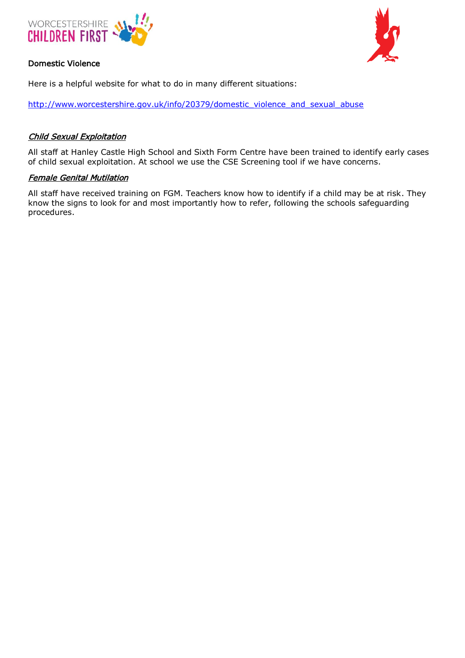

# Domestic Violence



Here is a helpful website for what to do in many different situations:

[http://www.worcestershire.gov.uk/info/20379/domestic\\_violence\\_and\\_sexual\\_abuse](http://www.worcestershire.gov.uk/info/20379/domestic_violence_and_sexual_abuse)

# Child Sexual Exploitation

All staff at Hanley Castle High School and Sixth Form Centre have been trained to identify early cases of child sexual exploitation. At school we use the CSE Screening tool if we have concerns.

## Female Genital Mutilation

All staff have received training on FGM. Teachers know how to identify if a child may be at risk. They know the signs to look for and most importantly how to refer, following the schools safeguarding procedures.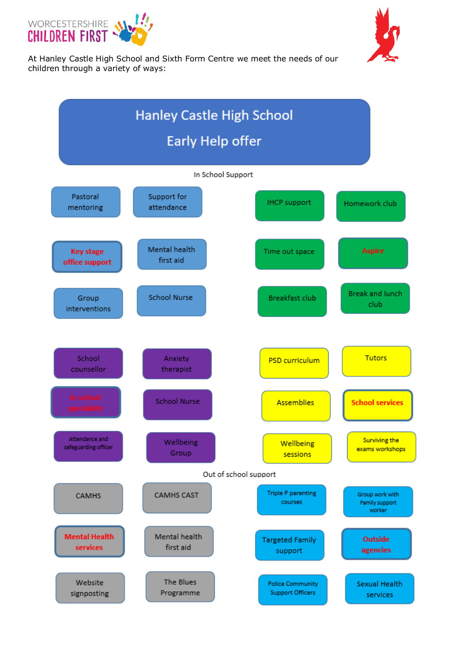



At Hanley Castle High School and Sixth Form Centre we meet the needs of our children through a variety of ways:

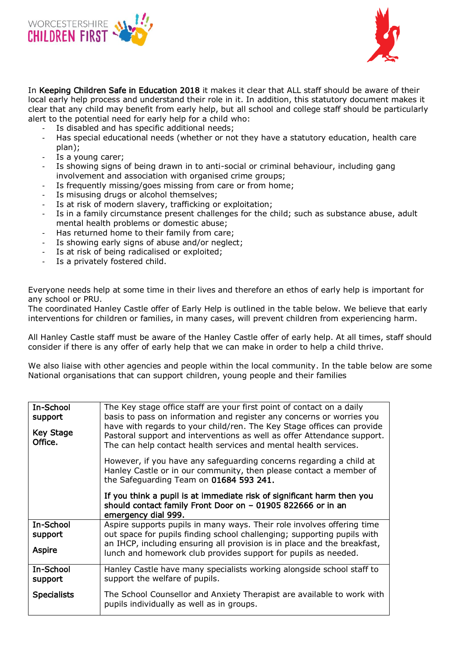



In Keeping Children Safe in Education 2018 it makes it clear that ALL staff should be aware of their local early help process and understand their role in it. In addition, this statutory document makes it clear that any child may benefit from early help, but all school and college staff should be particularly alert to the potential need for early help for a child who:

- Is disabled and has specific additional needs;
- Has special educational needs (whether or not they have a statutory education, health care plan);
- Is a young carer;
- Is showing signs of being drawn in to anti-social or criminal behaviour, including gang involvement and association with organised crime groups;
- Is frequently missing/goes missing from care or from home;
- Is misusing drugs or alcohol themselves;
- Is at risk of modern slavery, trafficking or exploitation;
- Is in a family circumstance present challenges for the child; such as substance abuse, adult mental health problems or domestic abuse;
- Has returned home to their family from care;
- Is showing early signs of abuse and/or neglect;
- Is at risk of being radicalised or exploited;
- Is a privately fostered child.

Everyone needs help at some time in their lives and therefore an ethos of early help is important for any school or PRU.

The coordinated Hanley Castle offer of Early Help is outlined in the table below. We believe that early interventions for children or families, in many cases, will prevent children from experiencing harm.

All Hanley Castle staff must be aware of the Hanley Castle offer of early help. At all times, staff should consider if there is any offer of early help that we can make in order to help a child thrive.

We also liaise with other agencies and people within the local community. In the table below are some National organisations that can support children, young people and their families

| In-School<br>support<br><b>Key Stage</b><br>Office. | The Key stage office staff are your first point of contact on a daily<br>basis to pass on information and register any concerns or worries you<br>have with regards to your child/ren. The Key Stage offices can provide<br>Pastoral support and interventions as well as offer Attendance support.<br>The can help contact health services and mental health services. |
|-----------------------------------------------------|-------------------------------------------------------------------------------------------------------------------------------------------------------------------------------------------------------------------------------------------------------------------------------------------------------------------------------------------------------------------------|
|                                                     | However, if you have any safeguarding concerns regarding a child at<br>Hanley Castle or in our community, then please contact a member of<br>the Safeguarding Team on 01684 593 241.                                                                                                                                                                                    |
|                                                     | If you think a pupil is at immediate risk of significant harm then you<br>should contact family Front Door on - 01905 822666 or in an<br>emergency dial 999.                                                                                                                                                                                                            |
| In-School<br>support<br><b>Aspire</b>               | Aspire supports pupils in many ways. Their role involves offering time<br>out space for pupils finding school challenging; supporting pupils with<br>an IHCP, including ensuring all provision is in place and the breakfast,<br>lunch and homework club provides support for pupils as needed.                                                                         |
| In-School<br>support                                | Hanley Castle have many specialists working alongside school staff to<br>support the welfare of pupils.                                                                                                                                                                                                                                                                 |
| <b>Specialists</b>                                  | The School Counsellor and Anxiety Therapist are available to work with<br>pupils individually as well as in groups.                                                                                                                                                                                                                                                     |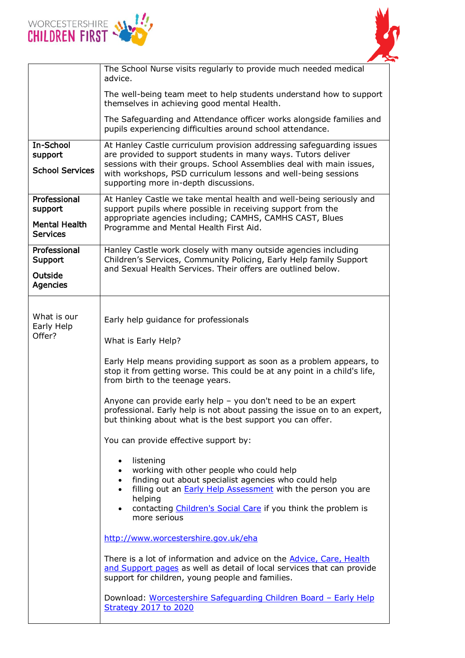



|                                         | The School Nurse visits regularly to provide much needed medical<br>advice.                                                                                                                                                                                                                                             |
|-----------------------------------------|-------------------------------------------------------------------------------------------------------------------------------------------------------------------------------------------------------------------------------------------------------------------------------------------------------------------------|
|                                         | The well-being team meet to help students understand how to support<br>themselves in achieving good mental Health.                                                                                                                                                                                                      |
|                                         | The Safeguarding and Attendance officer works alongside families and<br>pupils experiencing difficulties around school attendance.                                                                                                                                                                                      |
| In-School<br>support                    | At Hanley Castle curriculum provision addressing safeguarding issues<br>are provided to support students in many ways. Tutors deliver<br>sessions with their groups. School Assemblies deal with main issues,                                                                                                           |
| <b>School Services</b>                  | with workshops, PSD curriculum lessons and well-being sessions<br>supporting more in-depth discussions.                                                                                                                                                                                                                 |
| Professional<br>support                 | At Hanley Castle we take mental health and well-being seriously and<br>support pupils where possible in receiving support from the                                                                                                                                                                                      |
| <b>Mental Health</b><br><b>Services</b> | appropriate agencies including; CAMHS, CAMHS CAST, Blues<br>Programme and Mental Health First Aid.                                                                                                                                                                                                                      |
| Professional<br>Support                 | Hanley Castle work closely with many outside agencies including<br>Children's Services, Community Policing, Early Help family Support                                                                                                                                                                                   |
| Outside<br><b>Agencies</b>              | and Sexual Health Services. Their offers are outlined below.                                                                                                                                                                                                                                                            |
| What is our<br>Early Help               | Early help guidance for professionals                                                                                                                                                                                                                                                                                   |
| Offer?                                  | What is Early Help?                                                                                                                                                                                                                                                                                                     |
|                                         | Early Help means providing support as soon as a problem appears, to<br>stop it from getting worse. This could be at any point in a child's life,<br>from birth to the teenage years.                                                                                                                                    |
|                                         | Anyone can provide early help - you don't need to be an expert<br>professional. Early help is not about passing the issue on to an expert,<br>but thinking about what is the best support you can offer.                                                                                                                |
|                                         |                                                                                                                                                                                                                                                                                                                         |
|                                         | You can provide effective support by:                                                                                                                                                                                                                                                                                   |
|                                         | listening<br>working with other people who could help<br>finding out about specialist agencies who could help<br>$\bullet$<br>filling out an <b>Early Help Assessment</b> with the person you are<br>$\bullet$<br>helping<br>contacting Children's Social Care if you think the problem is<br>$\bullet$<br>more serious |
|                                         | http://www.worcestershire.gov.uk/eha                                                                                                                                                                                                                                                                                    |
|                                         | There is a lot of information and advice on the <b>Advice, Care, Health</b><br>and Support pages as well as detail of local services that can provide<br>support for children, young people and families.                                                                                                               |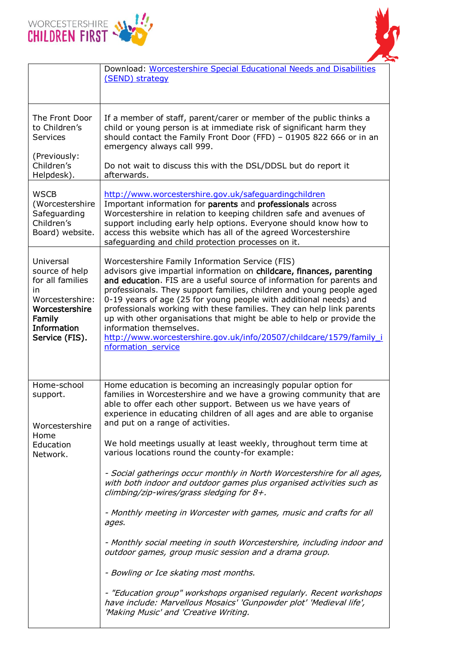



|                                                                                                                                       | Download: Worcestershire Special Educational Needs and Disabilities<br>(SEND) strategy                                                                                                                                                                                                                                                                                                                                                                                                                                                                                                                                   |
|---------------------------------------------------------------------------------------------------------------------------------------|--------------------------------------------------------------------------------------------------------------------------------------------------------------------------------------------------------------------------------------------------------------------------------------------------------------------------------------------------------------------------------------------------------------------------------------------------------------------------------------------------------------------------------------------------------------------------------------------------------------------------|
| The Front Door<br>to Children's<br><b>Services</b><br>(Previously:<br>Children's<br>Helpdesk).                                        | If a member of staff, parent/carer or member of the public thinks a<br>child or young person is at immediate risk of significant harm they<br>should contact the Family Front Door (FFD) - 01905 822 666 or in an<br>emergency always call 999.<br>Do not wait to discuss this with the DSL/DDSL but do report it<br>afterwards.                                                                                                                                                                                                                                                                                         |
| <b>WSCB</b><br>(Worcestershire<br>Safeguarding<br>Children's<br>Board) website.                                                       | http://www.worcestershire.gov.uk/safeguardingchildren<br>Important information for parents and professionals across<br>Worcestershire in relation to keeping children safe and avenues of<br>support including early help options. Everyone should know how to<br>access this website which has all of the agreed Worcestershire<br>safeguarding and child protection processes on it.                                                                                                                                                                                                                                   |
| Universal<br>source of help<br>for all families<br>in<br>Worcestershire:<br>Worcestershire<br>Family<br>Information<br>Service (FIS). | Worcestershire Family Information Service (FIS)<br>advisors give impartial information on childcare, finances, parenting<br>and education. FIS are a useful source of information for parents and<br>professionals. They support families, children and young people aged<br>0-19 years of age (25 for young people with additional needs) and<br>professionals working with these families. They can help link parents<br>up with other organisations that might be able to help or provide the<br>information themselves.<br>http://www.worcestershire.gov.uk/info/20507/childcare/1579/family_i<br>nformation service |
| Home-school<br>support.<br>Worcestershire<br>Home<br>Education<br>Network.                                                            | Home education is becoming an increasingly popular option for<br>families in Worcestershire and we have a growing community that are<br>able to offer each other support. Between us we have years of<br>experience in educating children of all ages and are able to organise<br>and put on a range of activities.<br>We hold meetings usually at least weekly, throughout term time at<br>various locations round the county-for example:                                                                                                                                                                              |
|                                                                                                                                       | - Social gatherings occur monthly in North Worcestershire for all ages,<br>with both indoor and outdoor games plus organised activities such as<br>climbing/zip-wires/grass sledging for 8+.<br>- Monthly meeting in Worcester with games, music and crafts for all<br>ages.<br>- Monthly social meeting in south Worcestershire, including indoor and<br>outdoor games, group music session and a drama group.<br>- Bowling or Ice skating most months.<br>- "Education group" workshops organised regularly. Recent workshops                                                                                          |
|                                                                                                                                       | have include: Marvellous Mosaics' 'Gunpowder plot' 'Medieval life',<br>'Making Music' and 'Creative Writing.                                                                                                                                                                                                                                                                                                                                                                                                                                                                                                             |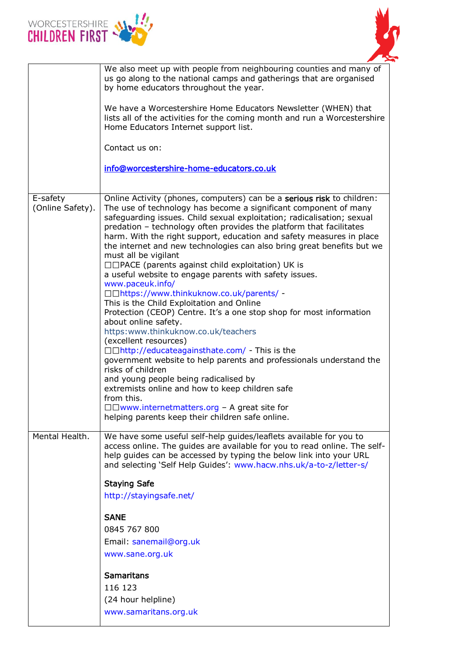



|                              | We also meet up with people from neighbouring counties and many of<br>us go along to the national camps and gatherings that are organised<br>by home educators throughout the year.                                                                                                                                                                                                                                                                                                                                                                                                                                                                                                                                                                                                                                                                                                                                                                                                                                                                                                                                                                                                                                                |
|------------------------------|------------------------------------------------------------------------------------------------------------------------------------------------------------------------------------------------------------------------------------------------------------------------------------------------------------------------------------------------------------------------------------------------------------------------------------------------------------------------------------------------------------------------------------------------------------------------------------------------------------------------------------------------------------------------------------------------------------------------------------------------------------------------------------------------------------------------------------------------------------------------------------------------------------------------------------------------------------------------------------------------------------------------------------------------------------------------------------------------------------------------------------------------------------------------------------------------------------------------------------|
|                              | We have a Worcestershire Home Educators Newsletter (WHEN) that<br>lists all of the activities for the coming month and run a Worcestershire<br>Home Educators Internet support list.                                                                                                                                                                                                                                                                                                                                                                                                                                                                                                                                                                                                                                                                                                                                                                                                                                                                                                                                                                                                                                               |
|                              | Contact us on:                                                                                                                                                                                                                                                                                                                                                                                                                                                                                                                                                                                                                                                                                                                                                                                                                                                                                                                                                                                                                                                                                                                                                                                                                     |
|                              | info@worcestershire-home-educators.co.uk                                                                                                                                                                                                                                                                                                                                                                                                                                                                                                                                                                                                                                                                                                                                                                                                                                                                                                                                                                                                                                                                                                                                                                                           |
| E-safety<br>(Online Safety). | Online Activity (phones, computers) can be a serious risk to children:<br>The use of technology has become a significant component of many<br>safeguarding issues. Child sexual exploitation; radicalisation; sexual<br>predation - technology often provides the platform that facilitates<br>harm. With the right support, education and safety measures in place<br>the internet and new technologies can also bring great benefits but we<br>must all be vigilant<br>□□PACE (parents against child exploitation) UK is<br>a useful website to engage parents with safety issues.<br>www.paceuk.info/<br>□□https://www.thinkuknow.co.uk/parents/ -<br>This is the Child Exploitation and Online<br>Protection (CEOP) Centre. It's a one stop shop for most information<br>about online safety.<br>https:www.thinkuknow.co.uk/teachers<br>(excellent resources)<br>□□http://educateagainsthate.com/ - This is the<br>government website to help parents and professionals understand the<br>risks of children<br>and young people being radicalised by<br>extremists online and how to keep children safe<br>from this.<br>$\Box$ Www.internetmatters.org - A great site for<br>helping parents keep their children safe online. |
| Mental Health.               | We have some useful self-help guides/leaflets available for you to<br>access online. The guides are available for you to read online. The self-<br>help guides can be accessed by typing the below link into your URL<br>and selecting 'Self Help Guides': www.hacw.nhs.uk/a-to-z/letter-s/<br><b>Staying Safe</b><br>http://stayingsafe.net/<br><b>SANE</b><br>0845 767 800<br>Email: sanemail@org.uk<br>www.sane.org.uk<br><b>Samaritans</b><br>116 123<br>(24 hour helpline)<br>www.samaritans.org.uk                                                                                                                                                                                                                                                                                                                                                                                                                                                                                                                                                                                                                                                                                                                           |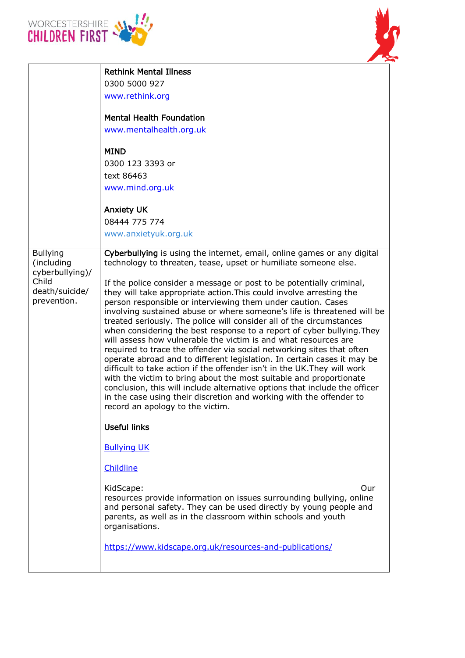



|                                                                                            | <b>Rethink Mental Illness</b><br>0300 5000 927<br>www.rethink.org<br><b>Mental Health Foundation</b><br>www.mentalhealth.org.uk<br><b>MIND</b><br>0300 123 3393 or<br>text 86463<br>www.mind.org.uk<br><b>Anxiety UK</b>                                                                                                                                                                                                                                                                                                                                                                                                                                                                                                                                                                                                                                                                                                                                                                                                                                                                                                                                                                                                                                                                                                                                                                                                                                                                                                           |
|--------------------------------------------------------------------------------------------|------------------------------------------------------------------------------------------------------------------------------------------------------------------------------------------------------------------------------------------------------------------------------------------------------------------------------------------------------------------------------------------------------------------------------------------------------------------------------------------------------------------------------------------------------------------------------------------------------------------------------------------------------------------------------------------------------------------------------------------------------------------------------------------------------------------------------------------------------------------------------------------------------------------------------------------------------------------------------------------------------------------------------------------------------------------------------------------------------------------------------------------------------------------------------------------------------------------------------------------------------------------------------------------------------------------------------------------------------------------------------------------------------------------------------------------------------------------------------------------------------------------------------------|
|                                                                                            | 08444 775 774<br>www.anxietyuk.org.uk                                                                                                                                                                                                                                                                                                                                                                                                                                                                                                                                                                                                                                                                                                                                                                                                                                                                                                                                                                                                                                                                                                                                                                                                                                                                                                                                                                                                                                                                                              |
| <b>Bullying</b><br>(including<br>cyberbullying)/<br>Child<br>death/suicide/<br>prevention. | Cyberbullying is using the internet, email, online games or any digital<br>technology to threaten, tease, upset or humiliate someone else.<br>If the police consider a message or post to be potentially criminal,<br>they will take appropriate action. This could involve arresting the<br>person responsible or interviewing them under caution. Cases<br>involving sustained abuse or where someone's life is threatened will be<br>treated seriously. The police will consider all of the circumstances<br>when considering the best response to a report of cyber bullying. They<br>will assess how vulnerable the victim is and what resources are<br>required to trace the offender via social networking sites that often<br>operate abroad and to different legislation. In certain cases it may be<br>difficult to take action if the offender isn't in the UK. They will work<br>with the victim to bring about the most suitable and proportionate<br>conclusion, this will include alternative options that include the officer<br>in the case using their discretion and working with the offender to<br>record an apology to the victim.<br><b>Useful links</b><br><b>Bullying UK</b><br>Childline<br>KidScape:<br>Our<br>resources provide information on issues surrounding bullying, online<br>and personal safety. They can be used directly by young people and<br>parents, as well as in the classroom within schools and youth<br>organisations.<br>https://www.kidscape.org.uk/resources-and-publications/ |
|                                                                                            |                                                                                                                                                                                                                                                                                                                                                                                                                                                                                                                                                                                                                                                                                                                                                                                                                                                                                                                                                                                                                                                                                                                                                                                                                                                                                                                                                                                                                                                                                                                                    |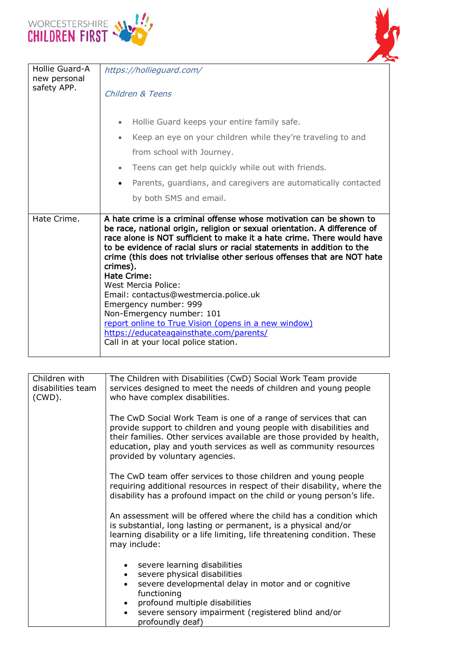



| Hollie Guard-A<br>new personal<br>safety APP. | https://hollieguard.com/<br>Children & Teens<br>Hollie Guard keeps your entire family safe.<br>Keep an eye on your children while they're traveling to and<br>from school with Journey.<br>Teens can get help quickly while out with friends.<br>$\bullet$                                                                                                                                                                                                                                                                                                                                                                                                                    |
|-----------------------------------------------|-------------------------------------------------------------------------------------------------------------------------------------------------------------------------------------------------------------------------------------------------------------------------------------------------------------------------------------------------------------------------------------------------------------------------------------------------------------------------------------------------------------------------------------------------------------------------------------------------------------------------------------------------------------------------------|
|                                               | Parents, guardians, and caregivers are automatically contacted<br>by both SMS and email.                                                                                                                                                                                                                                                                                                                                                                                                                                                                                                                                                                                      |
| Hate Crime.                                   | A hate crime is a criminal offense whose motivation can be shown to<br>be race, national origin, religion or sexual orientation. A difference of<br>race alone is NOT sufficient to make it a hate crime. There would have<br>to be evidence of racial slurs or racial statements in addition to the<br>crime (this does not trivialise other serious offenses that are NOT hate<br>crimes).<br>Hate Crime:<br>West Mercia Police:<br>Email: contactus@westmercia.police.uk<br>Emergency number: 999<br>Non-Emergency number: 101<br>report online to True Vision (opens in a new window)<br>https://educateagainsthate.com/parents/<br>Call in at your local police station. |

| Children with<br>disabilities team<br>$(CWD)$ . | The Children with Disabilities (CwD) Social Work Team provide<br>services designed to meet the needs of children and young people<br>who have complex disabilities.                                                                                                                                                     |
|-------------------------------------------------|-------------------------------------------------------------------------------------------------------------------------------------------------------------------------------------------------------------------------------------------------------------------------------------------------------------------------|
|                                                 | The CwD Social Work Team is one of a range of services that can<br>provide support to children and young people with disabilities and<br>their families. Other services available are those provided by health,<br>education, play and youth services as well as community resources<br>provided by voluntary agencies. |
|                                                 | The CwD team offer services to those children and young people<br>requiring additional resources in respect of their disability, where the<br>disability has a profound impact on the child or young person's life.                                                                                                     |
|                                                 | An assessment will be offered where the child has a condition which<br>is substantial, long lasting or permanent, is a physical and/or<br>learning disability or a life limiting, life threatening condition. These<br>may include:                                                                                     |
|                                                 | severe learning disabilities<br>severe physical disabilities<br>$\bullet$<br>severe developmental delay in motor and or cognitive<br>$\bullet$<br>functioning<br>profound multiple disabilities<br>$\bullet$<br>severe sensory impairment (registered blind and/or<br>$\bullet$<br>profoundly deaf)                     |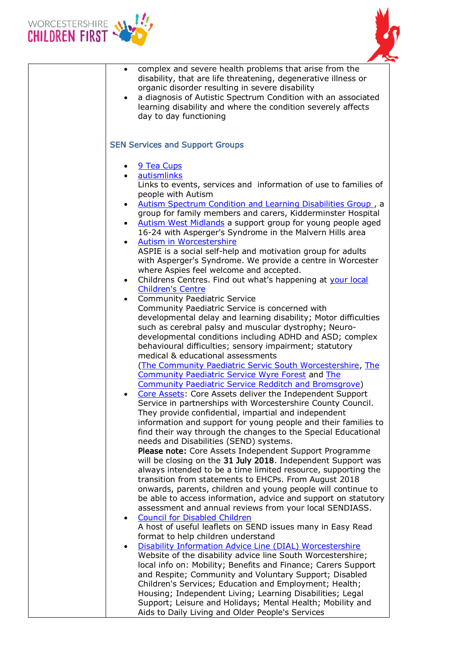



| complex and severe health problems that arise from the<br>$\bullet$<br>disability, that are life threatening, degenerative illness or<br>organic disorder resulting in severe disability<br>a diagnosis of Autistic Spectrum Condition with an associated<br>$\bullet$<br>learning disability and where the condition severely affects<br>day to day functioning                                                                                                                                                                                                                                                                                                                                                                                                                                                                                                                                                                                                                                                                                                                                                                                                                                                                                                                                                                                                                                                                                                                                                                                                                                                                                                                                                                                                                                                                                                                                                                                                                                                                                                           |
|----------------------------------------------------------------------------------------------------------------------------------------------------------------------------------------------------------------------------------------------------------------------------------------------------------------------------------------------------------------------------------------------------------------------------------------------------------------------------------------------------------------------------------------------------------------------------------------------------------------------------------------------------------------------------------------------------------------------------------------------------------------------------------------------------------------------------------------------------------------------------------------------------------------------------------------------------------------------------------------------------------------------------------------------------------------------------------------------------------------------------------------------------------------------------------------------------------------------------------------------------------------------------------------------------------------------------------------------------------------------------------------------------------------------------------------------------------------------------------------------------------------------------------------------------------------------------------------------------------------------------------------------------------------------------------------------------------------------------------------------------------------------------------------------------------------------------------------------------------------------------------------------------------------------------------------------------------------------------------------------------------------------------------------------------------------------------|
| <b>SEN Services and Support Groups</b>                                                                                                                                                                                                                                                                                                                                                                                                                                                                                                                                                                                                                                                                                                                                                                                                                                                                                                                                                                                                                                                                                                                                                                                                                                                                                                                                                                                                                                                                                                                                                                                                                                                                                                                                                                                                                                                                                                                                                                                                                                     |
| 9 Tea Cups<br>autismlinks<br>Links to events, services and information of use to families of<br>people with Autism<br>Autism Spectrum Condition and Learning Disabilities Group, a<br>$\bullet$<br>group for family members and carers, Kidderminster Hospital<br>Autism West Midlands a support group for young people aged<br>$\bullet$<br>16-24 with Asperger's Syndrome in the Malvern Hills area<br>Autism in Worcestershire<br>$\bullet$<br>ASPIE is a social self-help and motivation group for adults<br>with Asperger's Syndrome. We provide a centre in Worcester<br>where Aspies feel welcome and accepted.<br>Childrens Centres. Find out what's happening at your local<br>$\bullet$<br><b>Children's Centre</b><br><b>Community Paediatric Service</b><br>$\bullet$<br>Community Paediatric Service is concerned with<br>developmental delay and learning disability; Motor difficulties<br>such as cerebral palsy and muscular dystrophy; Neuro-<br>developmental conditions including ADHD and ASD; complex<br>behavioural difficulties; sensory impairment; statutory<br>medical & educational assessments<br>(The Community Paediatric Servic South Worcestershire, The<br><b>Community Paediatric Service Wyre Forest and The</b><br><b>Community Paediatric Service Redditch and Bromsgrove)</b><br>Core Assets: Core Assets deliver the Independent Support<br>Service in partnerships with Worcestershire County Council.<br>They provide confidential, impartial and independent<br>information and support for young people and their families to<br>find their way through the changes to the Special Educational<br>needs and Disabilities (SEND) systems.<br>Please note: Core Assets Independent Support Programme<br>will be closing on the 31 July 2018. Independent Support was<br>always intended to be a time limited resource, supporting the<br>transition from statements to EHCPs. From August 2018<br>onwards, parents, children and young people will continue to<br>be able to access information, advice and support on statutory |
| assessment and annual reviews from your local SENDIASS.<br><b>Council for Disabled Children</b><br>A host of useful leaflets on SEND issues many in Easy Read                                                                                                                                                                                                                                                                                                                                                                                                                                                                                                                                                                                                                                                                                                                                                                                                                                                                                                                                                                                                                                                                                                                                                                                                                                                                                                                                                                                                                                                                                                                                                                                                                                                                                                                                                                                                                                                                                                              |
| format to help children understand<br>Disability Information Advice Line (DIAL) Worcestershire<br>Website of the disability advice line South Worcestershire;<br>local info on: Mobility; Benefits and Finance; Carers Support<br>and Respite; Community and Voluntary Support; Disabled<br>Children's Services; Education and Employment; Health;<br>Housing; Independent Living; Learning Disabilities; Legal<br>Support; Leisure and Holidays; Mental Health; Mobility and<br>Aids to Daily Living and Older People's Services                                                                                                                                                                                                                                                                                                                                                                                                                                                                                                                                                                                                                                                                                                                                                                                                                                                                                                                                                                                                                                                                                                                                                                                                                                                                                                                                                                                                                                                                                                                                          |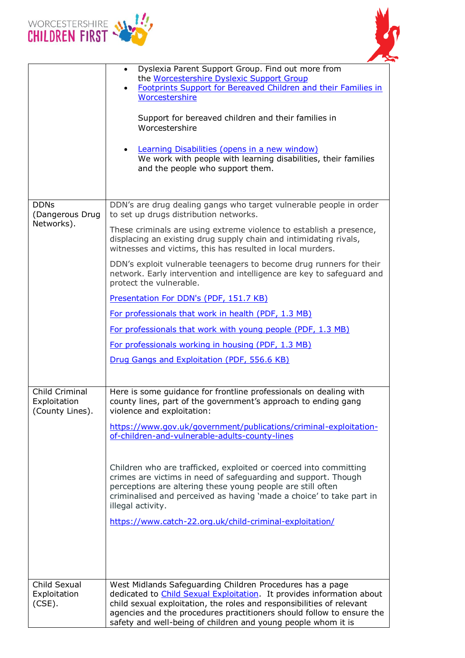



|                                                   | Dyslexia Parent Support Group. Find out more from<br>the Worcestershire Dyslexic Support Group<br>Footprints Support for Bereaved Children and their Families in<br>Worcestershire<br>Support for bereaved children and their families in<br>Worcestershire<br>Learning Disabilities (opens in a new window)<br>We work with people with learning disabilities, their families<br>and the people who support them. |
|---------------------------------------------------|--------------------------------------------------------------------------------------------------------------------------------------------------------------------------------------------------------------------------------------------------------------------------------------------------------------------------------------------------------------------------------------------------------------------|
| <b>DDNs</b>                                       | DDN's are drug dealing gangs who target vulnerable people in order                                                                                                                                                                                                                                                                                                                                                 |
| (Dangerous Drug<br>Networks).                     | to set up drugs distribution networks.                                                                                                                                                                                                                                                                                                                                                                             |
|                                                   | These criminals are using extreme violence to establish a presence,<br>displacing an existing drug supply chain and intimidating rivals,<br>witnesses and victims, this has resulted in local murders.                                                                                                                                                                                                             |
|                                                   | DDN's exploit vulnerable teenagers to become drug runners for their<br>network. Early intervention and intelligence are key to safeguard and<br>protect the vulnerable.                                                                                                                                                                                                                                            |
|                                                   | Presentation For DDN's (PDF, 151.7 KB)                                                                                                                                                                                                                                                                                                                                                                             |
|                                                   | For professionals that work in health (PDF, 1.3 MB)                                                                                                                                                                                                                                                                                                                                                                |
|                                                   | For professionals that work with young people (PDF, 1.3 MB)                                                                                                                                                                                                                                                                                                                                                        |
|                                                   | For professionals working in housing (PDF, 1.3 MB)                                                                                                                                                                                                                                                                                                                                                                 |
|                                                   | Drug Gangs and Exploitation (PDF, 556.6 KB)                                                                                                                                                                                                                                                                                                                                                                        |
| Child Criminal<br>Exploitation<br>(County Lines). | Here is some guidance for frontline professionals on dealing with<br>county lines, part of the government's approach to ending gang<br>violence and exploitation:                                                                                                                                                                                                                                                  |
|                                                   | https://www.gov.uk/government/publications/criminal-exploitation-<br>of-children-and-vulnerable-adults-county-lines                                                                                                                                                                                                                                                                                                |
|                                                   | Children who are trafficked, exploited or coerced into committing<br>crimes are victims in need of safeguarding and support. Though<br>perceptions are altering these young people are still often<br>criminalised and perceived as having 'made a choice' to take part in<br>illegal activity.<br>https://www.catch-22.org.uk/child-criminal-exploitation/                                                        |
|                                                   |                                                                                                                                                                                                                                                                                                                                                                                                                    |
| Child Sexual<br>Exploitation<br>$(CSE)$ .         | West Midlands Safeguarding Children Procedures has a page<br>dedicated to <b>Child Sexual Exploitation</b> . It provides information about<br>child sexual exploitation, the roles and responsibilities of relevant<br>agencies and the procedures practitioners should follow to ensure the<br>safety and well-being of children and young people whom it is                                                      |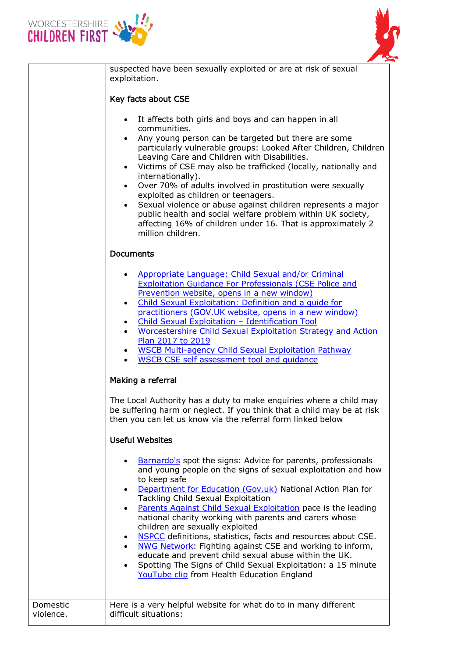



suspected have been sexually exploited or are at risk of sexual exploitation.

# Key facts about CSE

- It affects both girls and boys and can happen in all communities.
- Any young person can be targeted but there are some particularly vulnerable groups: Looked After Children, Children Leaving Care and Children with Disabilities.
- Victims of CSE may also be trafficked (locally, nationally and internationally).
- Over 70% of adults involved in prostitution were sexually exploited as children or teenagers.
- Sexual violence or abuse against children represents a major public health and social welfare problem within UK society, affecting 16% of children under 16. That is approximately 2 million children.

# Documents

| $\bullet$ | Appropriate Language: Child Sexual and/or Criminal             |
|-----------|----------------------------------------------------------------|
|           | <b>Exploitation Guidance For Professionals (CSE Police and</b> |
|           | Prevention website, opens in a new window)                     |
|           |                                                                |

- [Child Sexual Exploitation: Definition and a guide for](https://www.gov.uk/government/publications/child-sexual-exploitation-definition-and-guide-for-practitioners)  [practitioners \(GOV.UK website, opens in a new window\)](https://www.gov.uk/government/publications/child-sexual-exploitation-definition-and-guide-for-practitioners)
- [Child Sexual Exploitation](http://www.worcestershire.gov.uk/downloads/file/7102/child_sexual_exploitation_%E2%80%93_identification_tool)  Identification Tool
- [Worcestershire Child Sexual Exploitation Strategy and Action](http://www.worcestershire.gov.uk/downloads/file/6224/worcestershire_child_sexual_exploitation_strategy_and_action_plan_2015_to_2017)  [Plan 2017](http://www.worcestershire.gov.uk/downloads/file/6224/worcestershire_child_sexual_exploitation_strategy_and_action_plan_2015_to_2017) to 2019
- [WSCB Multi-agency Child Sexual Exploitation Pathway](http://www.worcestershire.gov.uk/downloads/file/7103/wscb_multi-agency_child_sexual_exploitation_pathway)
- [WSCB CSE self assessment tool and guidance](http://www.worcestershire.gov.uk/downloads/file/9131/wscb_cse_self_assessment_tool_and_guidance)

## Making a referral

The Local Authority has a duty to make enquiries where a child may be suffering harm or neglect. If you think that a child may be at risk then you can let us know via the referral form linked below

## Useful Websites

- [Barnardo's](http://www.barnardos.org.uk/get_involved/campaign/cse/spotthesigns.htm) spot the signs: Advice for parents, professionals and young people on the signs of sexual exploitation and how to keep safe
- [Department for Education \(Gov.uk\)](https://www.gov.uk/government/publications/what-to-do-if-you-suspect-a-child-is-being-sexually-exploited) National Action Plan for Tackling Child Sexual Exploitation
- [Parents Against Child Sexual Exploitation](http://www.paceuk.info/) pace is the leading national charity working with parents and carers whose children are sexually exploited
- [NSPCC](http://www.nspcc.org.uk/preventing-abuse/child-abuse-and-neglect/child-sexual-exploitation/what-is-child-sexual-exploitation/) definitions, statistics, facts and resources about CSE.
- . [NWG Network:](http://www.stop-cse.org/) Fighting against CSE and working to inform, educate and prevent child sexual abuse within the UK.
- Spotting The Signs of Child Sexual Exploitation: a 15 minute [YouTube clip](https://www.youtube.com/watch?v=sC4Nn_mYKu0) from Health Education England

| Domestic  | Here is a very helpful website for what do to in many different |
|-----------|-----------------------------------------------------------------|
| violence. | difficult situations:                                           |
|           |                                                                 |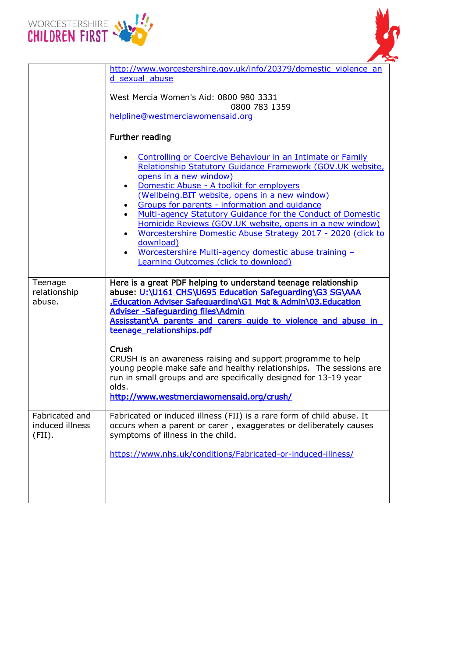



| http://www.worcestershire.gov.uk/info/20379/domestic violence an<br>d sexual abuse                                                                                                                                                                                                                                                   |
|--------------------------------------------------------------------------------------------------------------------------------------------------------------------------------------------------------------------------------------------------------------------------------------------------------------------------------------|
| West Mercia Women's Aid: 0800 980 3331<br>0800 783 1359                                                                                                                                                                                                                                                                              |
| helpline@westmerciawomensaid.org                                                                                                                                                                                                                                                                                                     |
| Further reading                                                                                                                                                                                                                                                                                                                      |
| Controlling or Coercive Behaviour in an Intimate or Family<br>Relationship Statutory Guidance Framework (GOV.UK website,<br>opens in a new window)<br>Domestic Abuse - A toolkit for employers<br>(Wellbeing.BIT website, opens in a new window)<br>Groups for parents - information and quidance                                    |
| Multi-agency Statutory Guidance for the Conduct of Domestic<br>Homicide Reviews (GOV.UK website, opens in a new window)<br>Worcestershire Domestic Abuse Strategy 2017 - 2020 (click to                                                                                                                                              |
| download)<br><u>Worcestershire Multi-agency domestic abuse training -</u><br>Learning Outcomes (click to download)                                                                                                                                                                                                                   |
| Here is a great PDF helping to understand teenage relationship<br>abuse: U:\U161 CHS\U695 Education Safeguarding\G3 SG\AAA<br>.Education Adviser Safeguarding\G1 Mgt & Admin\03.Education<br><b>Adviser -Safeguarding files\Admin</b><br>Assisstant\A parents and carers quide to violence and abuse in<br>teenage relationships.pdf |
| Crush<br>CRUSH is an awareness raising and support programme to help<br>young people make safe and healthy relationships. The sessions are<br>run in small groups and are specifically designed for 13-19 year<br>olds.<br>http://www.westmerciawomensaid.org/crush/                                                                 |
| Fabricated or induced illness (FII) is a rare form of child abuse. It<br>occurs when a parent or carer, exaggerates or deliberately causes<br>symptoms of illness in the child.                                                                                                                                                      |
| https://www.nhs.uk/conditions/Fabricated-or-induced-illness/                                                                                                                                                                                                                                                                         |
|                                                                                                                                                                                                                                                                                                                                      |
|                                                                                                                                                                                                                                                                                                                                      |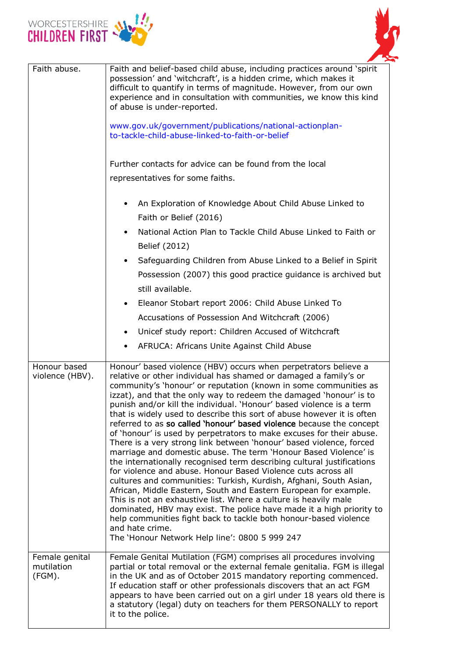



| Faith abuse.                                      | Faith and belief-based child abuse, including practices around 'spirit<br>possession' and 'witchcraft', is a hidden crime, which makes it<br>difficult to quantify in terms of magnitude. However, from our own<br>experience and in consultation with communities, we know this kind<br>of abuse is under-reported.<br>www.gov.uk/government/publications/national-actionplan-<br>to-tackle-child-abuse-linked-to-faith-or-belief<br>Further contacts for advice can be found from the local<br>representatives for some faiths.<br>An Exploration of Knowledge About Child Abuse Linked to<br>٠<br>Faith or Belief (2016)<br>National Action Plan to Tackle Child Abuse Linked to Faith or<br>$\bullet$<br>Belief (2012)<br>Safeguarding Children from Abuse Linked to a Belief in Spirit<br>$\bullet$<br>Possession (2007) this good practice guidance is archived but<br>still available.<br>Eleanor Stobart report 2006: Child Abuse Linked To<br>$\bullet$<br>Accusations of Possession And Witchcraft (2006)<br>Unicef study report: Children Accused of Witchcraft<br>$\bullet$<br>AFRUCA: Africans Unite Against Child Abuse<br>٠                                                                                                                                                                                                                               |  |
|---------------------------------------------------|--------------------------------------------------------------------------------------------------------------------------------------------------------------------------------------------------------------------------------------------------------------------------------------------------------------------------------------------------------------------------------------------------------------------------------------------------------------------------------------------------------------------------------------------------------------------------------------------------------------------------------------------------------------------------------------------------------------------------------------------------------------------------------------------------------------------------------------------------------------------------------------------------------------------------------------------------------------------------------------------------------------------------------------------------------------------------------------------------------------------------------------------------------------------------------------------------------------------------------------------------------------------------------------------------------------------------------------------------------------------------|--|
| Honour based<br>violence (HBV).<br>Female genital | Honour' based violence (HBV) occurs when perpetrators believe a<br>relative or other individual has shamed or damaged a family's or<br>community's 'honour' or reputation (known in some communities as<br>izzat), and that the only way to redeem the damaged 'honour' is to<br>punish and/or kill the individual. 'Honour' based violence is a term<br>that is widely used to describe this sort of abuse however it is often<br>referred to as so called 'honour' based violence because the concept<br>of 'honour' is used by perpetrators to make excuses for their abuse.<br>There is a very strong link between 'honour' based violence, forced<br>marriage and domestic abuse. The term 'Honour Based Violence' is<br>the internationally recognised term describing cultural justifications<br>for violence and abuse. Honour Based Violence cuts across all<br>cultures and communities: Turkish, Kurdish, Afghani, South Asian,<br>African, Middle Eastern, South and Eastern European for example.<br>This is not an exhaustive list. Where a culture is heavily male<br>dominated, HBV may exist. The police have made it a high priority to<br>help communities fight back to tackle both honour-based violence<br>and hate crime.<br>The 'Honour Network Help line': 0800 5 999 247<br>Female Genital Mutilation (FGM) comprises all procedures involving |  |
| mutilation<br>(FGM).                              | partial or total removal or the external female genitalia. FGM is illegal<br>in the UK and as of October 2015 mandatory reporting commenced.<br>If education staff or other professionals discovers that an act FGM<br>appears to have been carried out on a girl under 18 years old there is<br>a statutory (legal) duty on teachers for them PERSONALLY to report<br>it to the police.                                                                                                                                                                                                                                                                                                                                                                                                                                                                                                                                                                                                                                                                                                                                                                                                                                                                                                                                                                                 |  |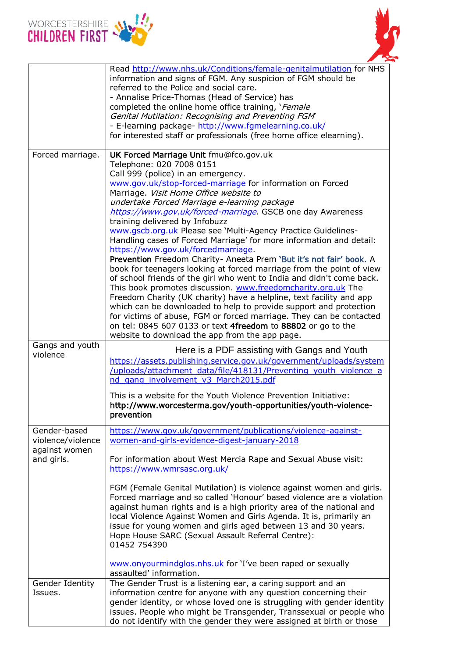



|                                                                  | Read http://www.nhs.uk/Conditions/female-genitalmutilation for NHS<br>information and signs of FGM. Any suspicion of FGM should be<br>referred to the Police and social care.<br>- Annalise Price-Thomas (Head of Service) has<br>completed the online home office training, 'Female<br>Genital Mutilation: Recognising and Preventing FGM<br>- E-learning package- http://www.fgmelearning.co.uk/<br>for interested staff or professionals (free home office elearning).                                                                                                                                                                                                                                                                                                                                                                                                                                                                                                                                                                                                                                                                                                  |  |  |
|------------------------------------------------------------------|----------------------------------------------------------------------------------------------------------------------------------------------------------------------------------------------------------------------------------------------------------------------------------------------------------------------------------------------------------------------------------------------------------------------------------------------------------------------------------------------------------------------------------------------------------------------------------------------------------------------------------------------------------------------------------------------------------------------------------------------------------------------------------------------------------------------------------------------------------------------------------------------------------------------------------------------------------------------------------------------------------------------------------------------------------------------------------------------------------------------------------------------------------------------------|--|--|
| Forced marriage.                                                 | UK Forced Marriage Unit fmu@fco.gov.uk<br>Telephone: 020 7008 0151<br>Call 999 (police) in an emergency.<br>www.gov.uk/stop-forced-marriage for information on Forced<br>Marriage. Visit Home Office website to<br>undertake Forced Marriage e-learning package<br>https://www.gov.uk/forced-marriage. GSCB one day Awareness<br>training delivered by Infobuzz<br>www.gscb.org.uk Please see 'Multi-Agency Practice Guidelines-<br>Handling cases of Forced Marriage' for more information and detail:<br>https://www.gov.uk/forcedmarriage.<br>Prevention Freedom Charity- Aneeta Prem 'But it's not fair' book. A<br>book for teenagers looking at forced marriage from the point of view<br>of school friends of the girl who went to India and didn't come back.<br>This book promotes discussion. www.freedomcharity.org.uk The<br>Freedom Charity (UK charity) have a helpline, text facility and app<br>which can be downloaded to help to provide support and protection<br>for victims of abuse, FGM or forced marriage. They can be contacted<br>on tel: 0845 607 0133 or text 4freedom to 88802 or go to the<br>website to download the app from the app page. |  |  |
| Gangs and youth<br>violence                                      | Here is a PDF assisting with Gangs and Youth<br>https://assets.publishing.service.gov.uk/government/uploads/system<br>/uploads/attachment_data/file/418131/Preventing_youth_violence_a<br>nd_gang_involvement_v3_March2015.pdf                                                                                                                                                                                                                                                                                                                                                                                                                                                                                                                                                                                                                                                                                                                                                                                                                                                                                                                                             |  |  |
|                                                                  | This is a website for the Youth Violence Prevention Initiative:<br>http://www.worcesterma.gov/youth-opportunities/youth-violence-<br>prevention                                                                                                                                                                                                                                                                                                                                                                                                                                                                                                                                                                                                                                                                                                                                                                                                                                                                                                                                                                                                                            |  |  |
| Gender-based<br>violence/violence<br>against women<br>and girls. | https://www.gov.uk/government/publications/violence-against-<br>women-and-girls-evidence-digest-january-2018<br>For information about West Mercia Rape and Sexual Abuse visit:<br>https://www.wmrsasc.org.uk/<br>FGM (Female Genital Mutilation) is violence against women and girls.<br>Forced marriage and so called 'Honour' based violence are a violation<br>against human rights and is a high priority area of the national and<br>local Violence Against Women and Girls Agenda. It is, primarily an<br>issue for young women and girls aged between 13 and 30 years.<br>Hope House SARC (Sexual Assault Referral Centre):<br>01452 754390<br>www.onyourmindglos.nhs.uk for 'I've been raped or sexually<br>assaulted' information.                                                                                                                                                                                                                                                                                                                                                                                                                                |  |  |
| Gender Identity<br>Issues.                                       | The Gender Trust is a listening ear, a caring support and an<br>information centre for anyone with any question concerning their<br>gender identity, or whose loved one is struggling with gender identity<br>issues. People who might be Transgender, Transsexual or people who<br>do not identify with the gender they were assigned at birth or those                                                                                                                                                                                                                                                                                                                                                                                                                                                                                                                                                                                                                                                                                                                                                                                                                   |  |  |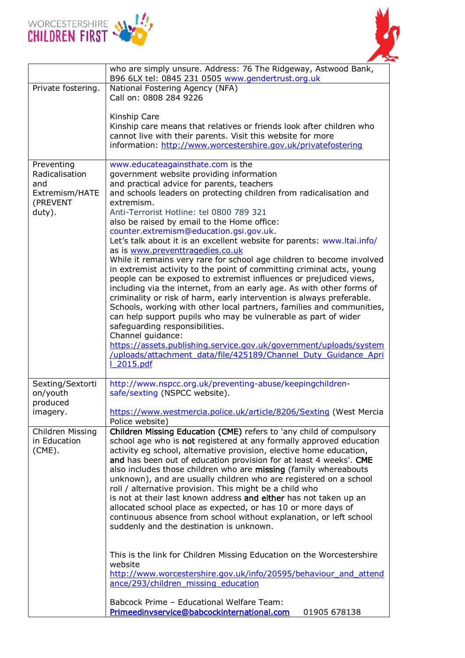



|                                                                             | who are simply unsure. Address: 76 The Ridgeway, Astwood Bank,<br>B96 6LX tel: 0845 231 0505 www.gendertrust.org.uk                                                                                                                                                                                                                                                                                                                                                                                                                                                                                                                                                                                                                                                                                                                                                                                                                                                                                                                                                                                                                                                                                   |  |  |  |
|-----------------------------------------------------------------------------|-------------------------------------------------------------------------------------------------------------------------------------------------------------------------------------------------------------------------------------------------------------------------------------------------------------------------------------------------------------------------------------------------------------------------------------------------------------------------------------------------------------------------------------------------------------------------------------------------------------------------------------------------------------------------------------------------------------------------------------------------------------------------------------------------------------------------------------------------------------------------------------------------------------------------------------------------------------------------------------------------------------------------------------------------------------------------------------------------------------------------------------------------------------------------------------------------------|--|--|--|
| Private fostering.                                                          | National Fostering Agency (NFA)<br>Call on: 0808 284 9226                                                                                                                                                                                                                                                                                                                                                                                                                                                                                                                                                                                                                                                                                                                                                                                                                                                                                                                                                                                                                                                                                                                                             |  |  |  |
|                                                                             | Kinship Care<br>Kinship care means that relatives or friends look after children who<br>cannot live with their parents. Visit this website for more<br>information: http://www.worcestershire.gov.uk/privatefostering                                                                                                                                                                                                                                                                                                                                                                                                                                                                                                                                                                                                                                                                                                                                                                                                                                                                                                                                                                                 |  |  |  |
| Preventing<br>Radicalisation<br>and<br>Extremism/HATE<br>(PREVENT<br>duty). | www.educateagainsthate.com is the<br>government website providing information<br>and practical advice for parents, teachers<br>and schools leaders on protecting children from radicalisation and<br>extremism.<br>Anti-Terrorist Hotline: tel 0800 789 321<br>also be raised by email to the Home office:<br>counter.extremism@education.gsi.gov.uk.<br>Let's talk about it is an excellent website for parents: www.ltai.info/<br>as is www.preventtragedies.co.uk<br>While it remains very rare for school age children to become involved<br>in extremist activity to the point of committing criminal acts, young<br>people can be exposed to extremist influences or prejudiced views,<br>including via the internet, from an early age. As with other forms of<br>criminality or risk of harm, early intervention is always preferable.<br>Schools, working with other local partners, families and communities,<br>can help support pupils who may be vulnerable as part of wider<br>safeguarding responsibilities.<br>Channel guidance:<br>https://assets.publishing.service.gov.uk/government/uploads/system<br>/uploads/attachment data/file/425189/Channel Duty Guidance Apri<br>2015.pdf |  |  |  |
| Sexting/Sextorti<br>on/youth<br>produced<br>imagery.                        | http://www.nspcc.org.uk/preventing-abuse/keepingchildren-<br>safe/sexting (NSPCC website).<br>https://www.westmercia.police.uk/article/8206/Sexting (West Mercia                                                                                                                                                                                                                                                                                                                                                                                                                                                                                                                                                                                                                                                                                                                                                                                                                                                                                                                                                                                                                                      |  |  |  |
| Children Missing<br>in Education<br>$(CME)$ .                               | Police website)<br>Children Missing Education (CME) refers to 'any child of compulsory<br>school age who is not registered at any formally approved education<br>activity eg school, alternative provision, elective home education,<br>and has been out of education provision for at least 4 weeks'. CME<br>also includes those children who are missing (family whereabouts<br>unknown), and are usually children who are registered on a school<br>roll / alternative provision. This might be a child who<br>is not at their last known address and either has not taken up an<br>allocated school place as expected, or has 10 or more days of<br>continuous absence from school without explanation, or left school<br>suddenly and the destination is unknown.<br>This is the link for Children Missing Education on the Worcestershire<br>website<br>http://www.worcestershire.gov.uk/info/20595/behaviour and attend<br>ance/293/children_missing_education<br>Babcock Prime - Educational Welfare Team:                                                                                                                                                                                    |  |  |  |
|                                                                             | Primeedinvservice@babcockinternational.com<br>01905 678138                                                                                                                                                                                                                                                                                                                                                                                                                                                                                                                                                                                                                                                                                                                                                                                                                                                                                                                                                                                                                                                                                                                                            |  |  |  |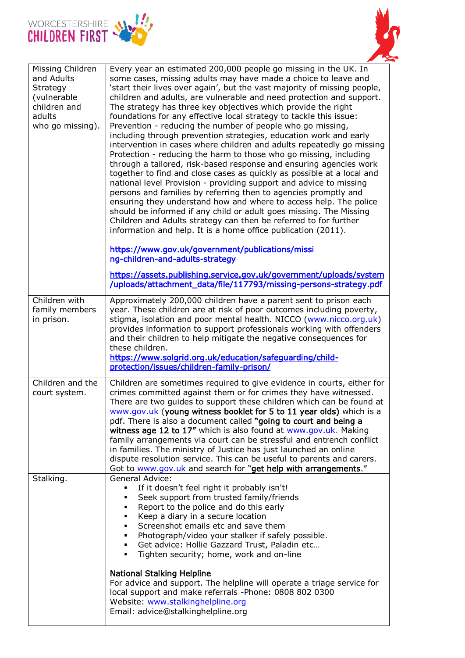



| Missing Children<br>and Adults<br>Strategy<br>(vulnerable<br>children and<br>adults<br>who go missing). | Every year an estimated 200,000 people go missing in the UK. In<br>some cases, missing adults may have made a choice to leave and<br>'start their lives over again', but the vast majority of missing people,<br>children and adults, are vulnerable and need protection and support.<br>The strategy has three key objectives which provide the right<br>foundations for any effective local strategy to tackle this issue:<br>Prevention - reducing the number of people who go missing,<br>including through prevention strategies, education work and early<br>intervention in cases where children and adults repeatedly go missing<br>Protection - reducing the harm to those who go missing, including<br>through a tailored, risk-based response and ensuring agencies work<br>together to find and close cases as quickly as possible at a local and<br>national level Provision - providing support and advice to missing<br>persons and families by referring then to agencies promptly and<br>ensuring they understand how and where to access help. The police<br>should be informed if any child or adult goes missing. The Missing<br>Children and Adults strategy can then be referred to for further<br>information and help. It is a home office publication (2011). |
|---------------------------------------------------------------------------------------------------------|----------------------------------------------------------------------------------------------------------------------------------------------------------------------------------------------------------------------------------------------------------------------------------------------------------------------------------------------------------------------------------------------------------------------------------------------------------------------------------------------------------------------------------------------------------------------------------------------------------------------------------------------------------------------------------------------------------------------------------------------------------------------------------------------------------------------------------------------------------------------------------------------------------------------------------------------------------------------------------------------------------------------------------------------------------------------------------------------------------------------------------------------------------------------------------------------------------------------------------------------------------------------------------------|
|                                                                                                         | https://www.gov.uk/government/publications/missi<br>ng-children-and-adults-strategy<br>https://assets.publishing.service.gov.uk/government/uploads/system<br>/uploads/attachment_data/file/117793/missing-persons-strategy.pdf                                                                                                                                                                                                                                                                                                                                                                                                                                                                                                                                                                                                                                                                                                                                                                                                                                                                                                                                                                                                                                                         |
| Children with<br>family members<br>in prison.                                                           | Approximately 200,000 children have a parent sent to prison each<br>year. These children are at risk of poor outcomes including poverty,<br>stigma, isolation and poor mental health. NICCO (www.nicco.org.uk)<br>provides information to support professionals working with offenders<br>and their children to help mitigate the negative consequences for<br>these children.<br>https://www.solgrid.org.uk/education/safeguarding/child-<br>protection/issues/children-family-prison/                                                                                                                                                                                                                                                                                                                                                                                                                                                                                                                                                                                                                                                                                                                                                                                                |
| Children and the<br>court system.                                                                       | Children are sometimes required to give evidence in courts, either for<br>crimes committed against them or for crimes they have witnessed.<br>There are two guides to support these children which can be found at<br>www.gov.uk (young witness booklet for 5 to 11 year olds) which is a<br>pdf. There is also a document called "going to court and being a<br>witness age 12 to 17" which is also found at www.gov.uk. Making<br>family arrangements via court can be stressful and entrench conflict<br>in families. The ministry of Justice has just launched an online<br>dispute resolution service. This can be useful to parents and carers.<br>Got to www.gov.uk and search for "get help with arrangements."                                                                                                                                                                                                                                                                                                                                                                                                                                                                                                                                                                |
| Stalking.                                                                                               | General Advice:<br>If it doesn't feel right it probably isn't!<br>٠<br>Seek support from trusted family/friends<br>٠<br>Report to the police and do this early<br>٠<br>Keep a diary in a secure location<br>٠<br>Screenshot emails etc and save them<br>٠<br>Photograph/video your stalker if safely possible.<br>٠<br>Get advice: Hollie Gazzard Trust, Paladin etc<br>٠<br>Tighten security; home, work and on-line<br>٠                                                                                                                                                                                                                                                                                                                                                                                                                                                                                                                                                                                                                                                                                                                                                                                                                                                             |
|                                                                                                         | <b>National Stalking Helpline</b><br>For advice and support. The helpline will operate a triage service for<br>local support and make referrals -Phone: 0808 802 0300<br>Website: www.stalkinghelpline.org<br>Email: advice@stalkinghelpline.org                                                                                                                                                                                                                                                                                                                                                                                                                                                                                                                                                                                                                                                                                                                                                                                                                                                                                                                                                                                                                                       |